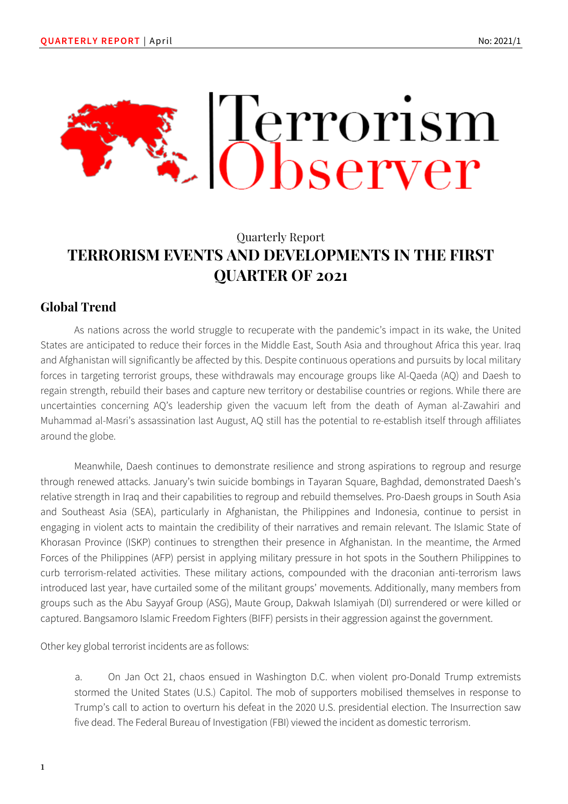

# Quarterly Report **TERRORISM EVENTS AND DEVELOPMENTS IN THE FIRST QUARTER OF 2021**

# **Global Trend**

As nations across the world struggle to recuperate with the pandemic's impact in its wake, the United States are anticipated to reduce their forces in the Middle East, South Asia and throughout Africa this year. Iraq and Afghanistan will significantly be affected by this. Despite continuous operations and pursuits by local military forces in targeting terrorist groups, these withdrawals may encourage groups like Al-Qaeda (AQ) and Daesh to regain strength, rebuild their bases and capture new territory or destabilise countries or regions. While there are uncertainties concerning AQ's leadership given the vacuum left from the death of Ayman al-Zawahiri and Muhammad al-Masri's assassination last August, AQ still has the potential to re-establish itself through affiliates around the globe.

Meanwhile, Daesh continues to demonstrate resilience and strong aspirations to regroup and resurge through renewed attacks. January's twin suicide bombings in Tayaran Square, Baghdad, demonstrated Daesh's relative strength in Iraq and their capabilities to regroup and rebuild themselves. Pro-Daesh groups in South Asia and Southeast Asia (SEA), particularly in Afghanistan, the Philippines and Indonesia, continue to persist in engaging in violent acts to maintain the credibility of their narratives and remain relevant. The Islamic State of Khorasan Province (ISKP) continues to strengthen their presence in Afghanistan. In the meantime, the Armed Forces of the Philippines (AFP) persist in applying military pressure in hot spots in the Southern Philippines to curb terrorism-related activities. These military actions, compounded with the draconian anti-terrorism laws introduced last year, have curtailed some of the militant groups' movements. Additionally, many members from groups such as the Abu Sayyaf Group (ASG), Maute Group, Dakwah Islamiyah (DI) surrendered or were killed or captured. Bangsamoro Islamic Freedom Fighters (BIFF) persists in their aggression against the government.

Other key global terrorist incidents are as follows:

a. On Jan Oct 21, chaos ensued in Washington D.C. when violent pro-Donald Trump extremists stormed the United States (U.S.) Capitol. The mob of supporters mobilised themselves in response to Trump's call to action to overturn his defeat in the 2020 U.S. presidential election. The Insurrection saw five dead. The Federal Bureau of Investigation (FBI) viewed the incident as domestic terrorism.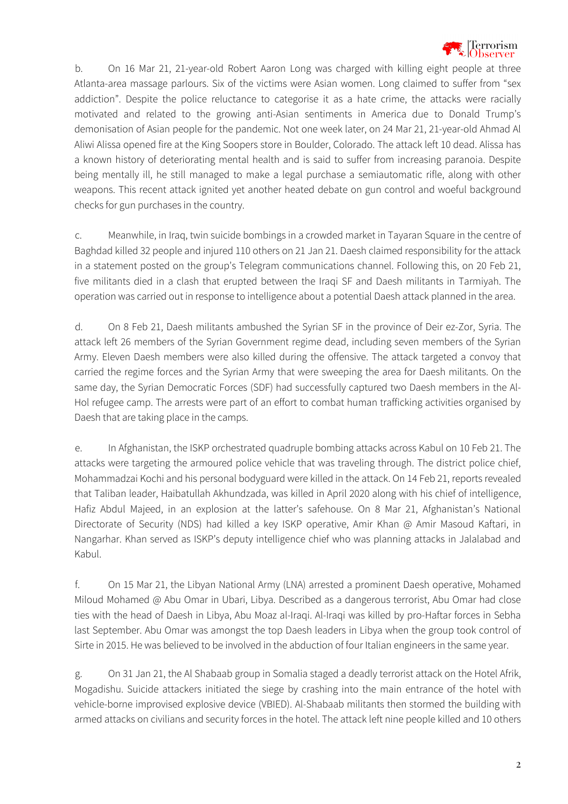

b. On 16 Mar 21, 21-year-old Robert Aaron Long was charged with killing eight people at three Atlanta-area massage parlours. Six of the victims were Asian women. Long claimed to suffer from "sex addiction". Despite the police reluctance to categorise it as a hate crime, the attacks were racially motivated and related to the growing anti-Asian sentiments in America due to Donald Trump's demonisation of Asian people for the pandemic. Not one week later, on 24 Mar 21, 21-year-old Ahmad Al Aliwi Alissa opened fire at the King Soopers store in Boulder, Colorado. The attack left 10 dead. Alissa has a known history of deteriorating mental health and is said to suffer from increasing paranoia. Despite being mentally ill, he still managed to make a legal purchase a semiautomatic rifle, along with other weapons. This recent attack ignited yet another heated debate on gun control and woeful background checks for gun purchases in the country.

c. Meanwhile, in Iraq, twin suicide bombings in a crowded market in Tayaran Square in the centre of Baghdad killed 32 people and injured 110 others on 21 Jan 21. Daesh claimed responsibility for the attack in a statement posted on the group's Telegram communications channel. Following this, on 20 Feb 21, five militants died in a clash that erupted between the Iraqi SF and Daesh militants in Tarmiyah. The operation was carried out in response to intelligence about a potential Daesh attack planned in the area.

d. On 8 Feb 21, Daesh militants ambushed the Syrian SF in the province of Deir ez-Zor, Syria. The attack left 26 members of the Syrian Government regime dead, including seven members of the Syrian Army. Eleven Daesh members were also killed during the offensive. The attack targeted a convoy that carried the regime forces and the Syrian Army that were sweeping the area for Daesh militants. On the same day, the Syrian Democratic Forces (SDF) had successfully captured two Daesh members in the Al-Hol refugee camp. The arrests were part of an effort to combat human trafficking activities organised by Daesh that are taking place in the camps.

e. In Afghanistan, the ISKP orchestrated quadruple bombing attacks across Kabul on 10 Feb 21. The attacks were targeting the armoured police vehicle that was traveling through. The district police chief, Mohammadzai Kochi and his personal bodyguard were killed in the attack. On 14 Feb 21, reports revealed that Taliban leader, Haibatullah Akhundzada, was killed in April 2020 along with his chief of intelligence, Hafiz Abdul Majeed, in an explosion at the latter's safehouse. On 8 Mar 21, Afghanistan's National Directorate of Security (NDS) had killed a key ISKP operative, Amir Khan @ Amir Masoud Kaftari, in Nangarhar. Khan served as ISKP's deputy intelligence chief who was planning attacks in Jalalabad and Kabul.

f. On 15 Mar 21, the Libyan National Army (LNA) arrested a prominent Daesh operative, Mohamed Miloud Mohamed @ Abu Omar in Ubari, Libya. Described as a dangerous terrorist, Abu Omar had close ties with the head of Daesh in Libya, Abu Moaz al-Iraqi. Al-Iraqi was killed by pro-Haftar forces in Sebha last September. Abu Omar was amongst the top Daesh leaders in Libya when the group took control of Sirte in 2015. He was believed to be involved in the abduction of four Italian engineers in the same year.

g. On 31 Jan 21, the Al Shabaab group in Somalia staged a deadly terrorist attack on the Hotel Afrik, Mogadishu. Suicide attackers initiated the siege by crashing into the main entrance of the hotel with vehicle-borne improvised explosive device (VBIED). Al-Shabaab militants then stormed the building with armed attacks on civilians and security forces in the hotel. The attack left nine people killed and 10 others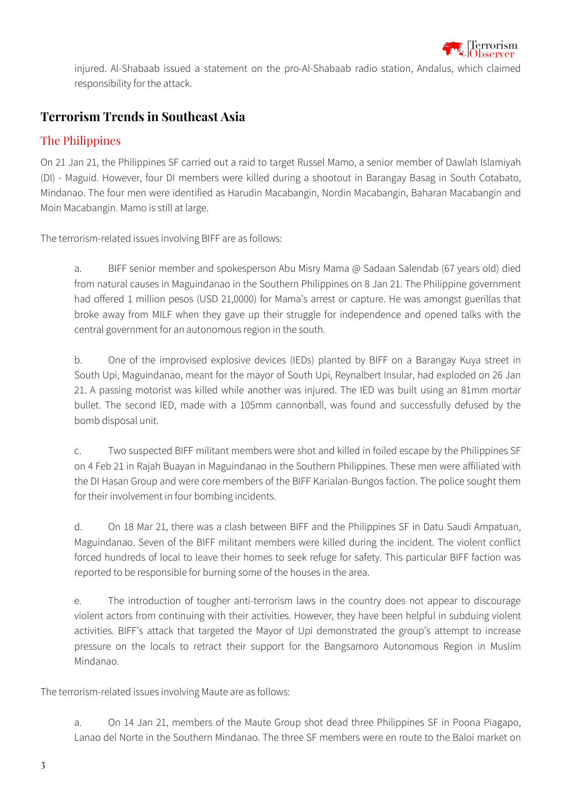

injured. Al-Shabaab issued a statement on the pro-Al-Shabaab radio station, Andalus, which claimed responsibility for the attack.

# **Terrorism Trends in Southeast Asia**

### The Philippines

On 21 Jan 21, the Philippines SF carried out a raid to target Russel Mamo, a senior member of Dawlah Islamiyah (DI) - Maguid. However, four DI members were killed during a shootout in Barangay Basag in South Cotabato, Mindanao. The four men were identified as Harudin Macabangin, Nordin Macabangin, Baharan Macabangin and Moin Macabangin. Mamo is still at large.

The terrorism-related issues involving BIFF are as follows:

a. BIFF senior member and spokesperson Abu Misry Mama @ Sadaan Salendab (67 years old) died from natural causes in Maguindanao in the Southern Philippines on 8 Jan 21. The Philippine government had offered 1 million pesos (USD 21,0000) for Mama's arrest or capture. He was amongst guerillas that broke away from MILF when they gave up their struggle for independence and opened talks with the central government for an autonomous region in the south.

b. One of the improvised explosive devices (IEDs) planted by BIFF on a Barangay Kuya street in South Upi, Maguindanao, meant for the mayor of South Upi, Reynalbert Insular, had exploded on 26 Jan 21. A passing motorist was killed while another was injured. The IED was built using an 81mm mortar bullet. The second IED, made with a 105mm cannonball, was found and successfully defused by the bomb disposal unit.

c. Two suspected BIFF militant members were shot and killed in foiled escape by the Philippines SF on 4 Feb 21 in Rajah Buayan in Maguindanao in the Southern Philippines. These men were affiliated with the DI Hasan Group and were core members of the BIFF Karialan-Bungos faction. The police sought them for their involvement in four bombing incidents.

d. On 18 Mar 21, there was a clash between BIFF and the Philippines SF in Datu Saudi Ampatuan, Maguindanao. Seven of the BIFF militant members were killed during the incident. The violent conflict forced hundreds of local to leave their homes to seek refuge for safety. This particular BIFF faction was reported to be responsible for burning some of the houses in the area.

e. The introduction of tougher anti-terrorism laws in the country does not appear to discourage violent actors from continuing with their activities. However, they have been helpful in subduing violent activities. BIFF's attack that targeted the Mayor of Upi demonstrated the group's attempt to increase pressure on the locals to retract their support for the Bangsamoro Autonomous Region in Muslim Mindanao.

The terrorism-related issues involving Maute are as follows:

a. On 14 Jan 21, members of the Maute Group shot dead three Philippines SF in Poona Piagapo, Lanao del Norte in the Southern Mindanao. The three SF members were en route to the Baloi market on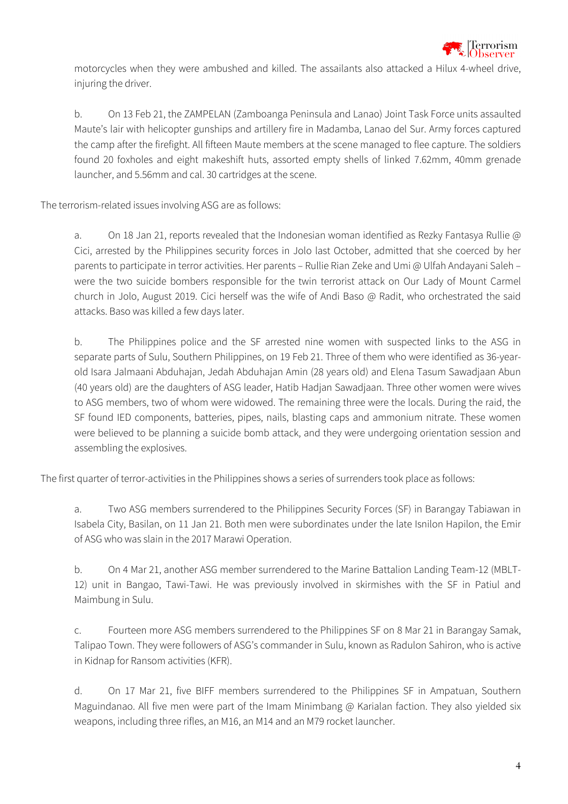

motorcycles when they were ambushed and killed. The assailants also attacked a Hilux 4-wheel drive, injuring the driver.

b. On 13 Feb 21, the ZAMPELAN (Zamboanga Peninsula and Lanao) Joint Task Force units assaulted Maute's lair with helicopter gunships and artillery fire in Madamba, Lanao del Sur. Army forces captured the camp after the firefight. All fifteen Maute members at the scene managed to flee capture. The soldiers found 20 foxholes and eight makeshift huts, assorted empty shells of linked 7.62mm, 40mm grenade launcher, and 5.56mm and cal. 30 cartridges at the scene.

The terrorism-related issues involving ASG are as follows:

a. On 18 Jan 21, reports revealed that the Indonesian woman identified as Rezky Fantasya Rullie @ Cici, arrested by the Philippines security forces in Jolo last October, admitted that she coerced by her parents to participate in terror activities. Her parents – Rullie Rian Zeke and Umi @ Ulfah Andayani Saleh – were the two suicide bombers responsible for the twin terrorist attack on Our Lady of Mount Carmel church in Jolo, August 2019. Cici herself was the wife of Andi Baso @ Radit, who orchestrated the said attacks. Baso was killed a few days later.

b. The Philippines police and the SF arrested nine women with suspected links to the ASG in separate parts of Sulu, Southern Philippines, on 19 Feb 21. Three of them who were identified as 36-yearold Isara Jalmaani Abduhajan, Jedah Abduhajan Amin (28 years old) and Elena Tasum Sawadjaan Abun (40 years old) are the daughters of ASG leader, Hatib Hadjan Sawadjaan. Three other women were wives to ASG members, two of whom were widowed. The remaining three were the locals. During the raid, the SF found IED components, batteries, pipes, nails, blasting caps and ammonium nitrate. These women were believed to be planning a suicide bomb attack, and they were undergoing orientation session and assembling the explosives.

The first quarter of terror-activities in the Philippines shows a series of surrenders took place as follows:

a. Two ASG members surrendered to the Philippines Security Forces (SF) in Barangay Tabiawan in Isabela City, Basilan, on 11 Jan 21. Both men were subordinates under the late Isnilon Hapilon, the Emir of ASG who was slain in the 2017 Marawi Operation.

b. On 4 Mar 21, another ASG member surrendered to the Marine Battalion Landing Team-12 (MBLT-12) unit in Bangao, Tawi-Tawi. He was previously involved in skirmishes with the SF in Patiul and Maimbung in Sulu.

c. Fourteen more ASG members surrendered to the Philippines SF on 8 Mar 21 in Barangay Samak, Talipao Town. They were followers of ASG's commander in Sulu, known as Radulon Sahiron, who is active in Kidnap for Ransom activities (KFR).

d. On 17 Mar 21, five BIFF members surrendered to the Philippines SF in Ampatuan, Southern Maguindanao. All five men were part of the Imam Minimbang @ Karialan faction. They also yielded six weapons, including three rifles, an M16, an M14 and an M79 rocket launcher.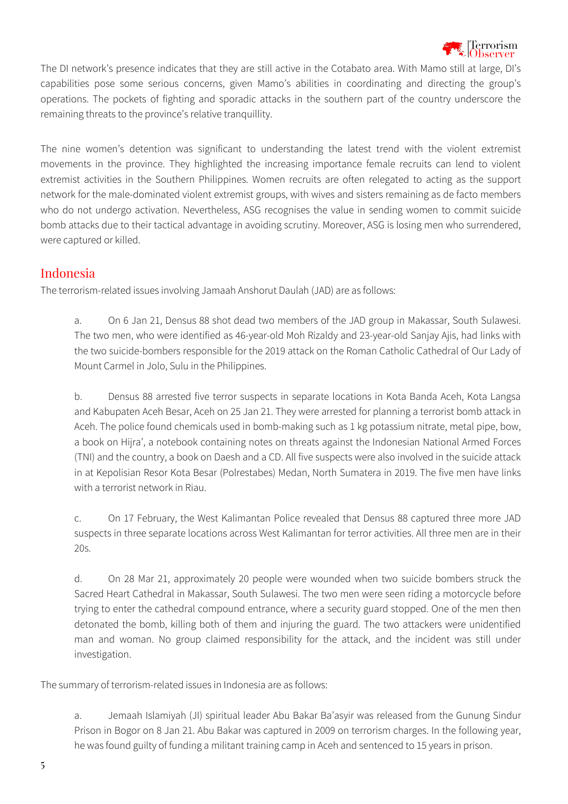

The DI network's presence indicates that they are still active in the Cotabato area. With Mamo still at large, DI's capabilities pose some serious concerns, given Mamo's abilities in coordinating and directing the group's operations. The pockets of fighting and sporadic attacks in the southern part of the country underscore the remaining threats to the province's relative tranquillity.

The nine women's detention was significant to understanding the latest trend with the violent extremist movements in the province. They highlighted the increasing importance female recruits can lend to violent extremist activities in the Southern Philippines. Women recruits are often relegated to acting as the support network for the male-dominated violent extremist groups, with wives and sisters remaining as de facto members who do not undergo activation. Nevertheless, ASG recognises the value in sending women to commit suicide bomb attacks due to their tactical advantage in avoiding scrutiny. Moreover, ASG is losing men who surrendered, were captured or killed.

#### Indonesia

The terrorism-related issues involving Jamaah Anshorut Daulah (JAD) are as follows:

a. On 6 Jan 21, Densus 88 shot dead two members of the JAD group in Makassar, South Sulawesi. The two men, who were identified as 46-year-old Moh Rizaldy and 23-year-old Sanjay Ajis, had links with the two suicide-bombers responsible for the 2019 attack on the Roman Catholic Cathedral of Our Lady of Mount Carmel in Jolo, Sulu in the Philippines.

b. Densus 88 arrested five terror suspects in separate locations in Kota Banda Aceh, Kota Langsa and Kabupaten Aceh Besar, Aceh on 25 Jan 21. They were arrested for planning a terrorist bomb attack in Aceh. The police found chemicals used in bomb-making such as 1 kg potassium nitrate, metal pipe, bow, a book on Hijra', a notebook containing notes on threats against the Indonesian National Armed Forces (TNI) and the country, a book on Daesh and a CD. All five suspects were also involved in the suicide attack in at Kepolisian Resor Kota Besar (Polrestabes) Medan, North Sumatera in 2019. The five men have links with a terrorist network in Riau.

c. On 17 February, the West Kalimantan Police revealed that Densus 88 captured three more JAD suspects in three separate locations across West Kalimantan for terror activities. All three men are in their 20s.

d. On 28 Mar 21, approximately 20 people were wounded when two suicide bombers struck the Sacred Heart Cathedral in Makassar, South Sulawesi. The two men were seen riding a motorcycle before trying to enter the cathedral compound entrance, where a security guard stopped. One of the men then detonated the bomb, killing both of them and injuring the guard. The two attackers were unidentified man and woman. No group claimed responsibility for the attack, and the incident was still under investigation.

The summary of terrorism-related issues in Indonesia are as follows:

a. Jemaah Islamiyah (JI) spiritual leader Abu Bakar Ba'asyir was released from the Gunung Sindur Prison in Bogor on 8 Jan 21. Abu Bakar was captured in 2009 on terrorism charges. In the following year, he was found guilty of funding a militant training camp in Aceh and sentenced to 15 years in prison.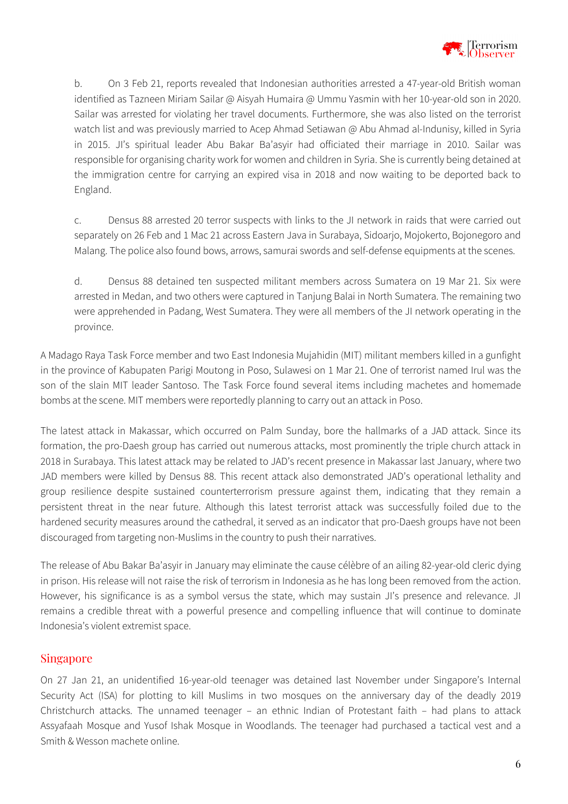

b. On 3 Feb 21, reports revealed that Indonesian authorities arrested a 47-year-old British woman identified as Tazneen Miriam Sailar @ Aisyah Humaira @ Ummu Yasmin with her 10-year-old son in 2020. Sailar was arrested for violating her travel documents. Furthermore, she was also listed on the terrorist watch list and was previously married to Acep Ahmad Setiawan @ Abu Ahmad al-Indunisy, killed in Syria in 2015. JI's spiritual leader Abu Bakar Ba'asyir had officiated their marriage in 2010. Sailar was responsible for organising charity work for women and children in Syria. She is currently being detained at the immigration centre for carrying an expired visa in 2018 and now waiting to be deported back to England.

c. Densus 88 arrested 20 terror suspects with links to the JI network in raids that were carried out separately on 26 Feb and 1 Mac 21 across Eastern Java in Surabaya, Sidoarjo, Mojokerto, Bojonegoro and Malang. The police also found bows, arrows, samurai swords and self-defense equipments at the scenes.

d. Densus 88 detained ten suspected militant members across Sumatera on 19 Mar 21. Six were arrested in Medan, and two others were captured in Tanjung Balai in North Sumatera. The remaining two were apprehended in Padang, West Sumatera. They were all members of the JI network operating in the province.

A Madago Raya Task Force member and two East Indonesia Mujahidin (MIT) militant members killed in a gunfight in the province of Kabupaten Parigi Moutong in Poso, Sulawesi on 1 Mar 21. One of terrorist named Irul was the son of the slain MIT leader Santoso. The Task Force found several items including machetes and homemade bombs at the scene. MIT members were reportedly planning to carry out an attack in Poso.

The latest attack in Makassar, which occurred on Palm Sunday, bore the hallmarks of a JAD attack. Since its formation, the pro-Daesh group has carried out numerous attacks, most prominently the triple church attack in 2018 in Surabaya. This latest attack may be related to JAD's recent presence in Makassar last January, where two JAD members were killed by Densus 88. This recent attack also demonstrated JAD's operational lethality and group resilience despite sustained counterterrorism pressure against them, indicating that they remain a persistent threat in the near future. Although this latest terrorist attack was successfully foiled due to the hardened security measures around the cathedral, it served as an indicator that pro-Daesh groups have not been discouraged from targeting non-Muslims in the country to push their narratives.

The release of Abu Bakar Ba'asyir in January may eliminate the cause célèbre of an ailing 82-year-old cleric dying in prison. His release will not raise the risk of terrorism in Indonesia as he has long been removed from the action. However, his significance is as a symbol versus the state, which may sustain JI's presence and relevance. JI remains a credible threat with a powerful presence and compelling influence that will continue to dominate Indonesia's violent extremist space.

#### Singapore

On 27 Jan 21, an unidentified 16-year-old teenager was detained last November under Singapore's Internal Security Act (ISA) for plotting to kill Muslims in two mosques on the anniversary day of the deadly 2019 Christchurch attacks. The unnamed teenager – an ethnic Indian of Protestant faith – had plans to attack Assyafaah Mosque and Yusof Ishak Mosque in Woodlands. The teenager had purchased a tactical vest and a Smith & Wesson machete online.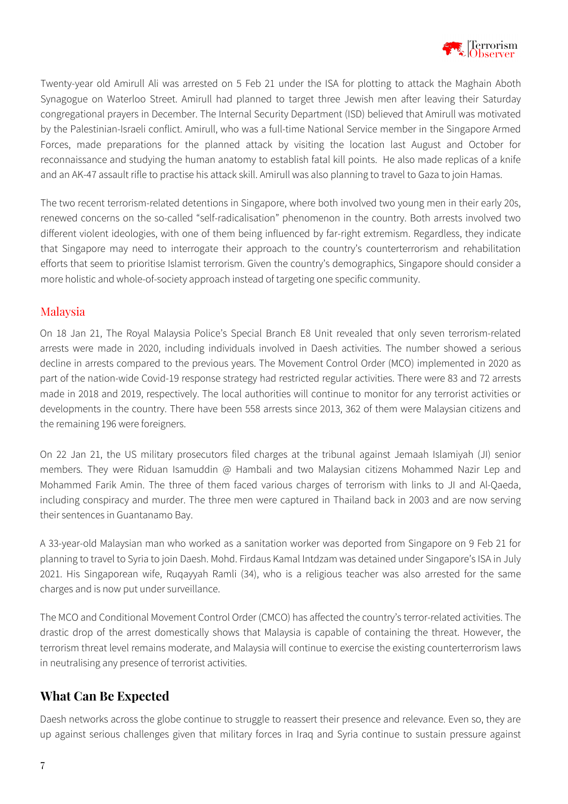

Twenty-year old Amirull Ali was arrested on 5 Feb 21 under the ISA for plotting to attack the Maghain Aboth Synagogue on Waterloo Street. Amirull had planned to target three Jewish men after leaving their Saturday congregational prayers in December. The Internal Security Department (ISD) believed that Amirull was motivated by the Palestinian-Israeli conflict. Amirull, who was a full-time National Service member in the Singapore Armed Forces, made preparations for the planned attack by visiting the location last August and October for reconnaissance and studying the human anatomy to establish fatal kill points. He also made replicas of a knife and an AK-47 assault rifle to practise his attack skill. Amirull was also planning to travel to Gaza to join Hamas.

The two recent terrorism-related detentions in Singapore, where both involved two young men in their early 20s, renewed concerns on the so-called "self-radicalisation" phenomenon in the country. Both arrests involved two different violent ideologies, with one of them being influenced by far-right extremism. Regardless, they indicate that Singapore may need to interrogate their approach to the country's counterterrorism and rehabilitation efforts that seem to prioritise Islamist terrorism. Given the country's demographics, Singapore should consider a more holistic and whole-of-society approach instead of targeting one specific community.

#### Malaysia

On 18 Jan 21, The Royal Malaysia Police's Special Branch E8 Unit revealed that only seven terrorism-related arrests were made in 2020, including individuals involved in Daesh activities. The number showed a serious decline in arrests compared to the previous years. The Movement Control Order (MCO) implemented in 2020 as part of the nation-wide Covid-19 response strategy had restricted regular activities. There were 83 and 72 arrests made in 2018 and 2019, respectively. The local authorities will continue to monitor for any terrorist activities or developments in the country. There have been 558 arrests since 2013, 362 of them were Malaysian citizens and the remaining 196 were foreigners.

On 22 Jan 21, the US military prosecutors filed charges at the tribunal against Jemaah Islamiyah (JI) senior members. They were Riduan Isamuddin @ Hambali and two Malaysian citizens Mohammed Nazir Lep and Mohammed Farik Amin. The three of them faced various charges of terrorism with links to JI and Al-Qaeda, including conspiracy and murder. The three men were captured in Thailand back in 2003 and are now serving their sentences in Guantanamo Bay.

A 33-year-old Malaysian man who worked as a sanitation worker was deported from Singapore on 9 Feb 21 for planning to travel to Syria to join Daesh. Mohd. Firdaus Kamal Intdzam was detained under Singapore's ISA in July 2021. His Singaporean wife, Ruqayyah Ramli (34), who is a religious teacher was also arrested for the same charges and is now put under surveillance.

The MCO and Conditional Movement Control Order (CMCO) has affected the country's terror-related activities. The drastic drop of the arrest domestically shows that Malaysia is capable of containing the threat. However, the terrorism threat level remains moderate, and Malaysia will continue to exercise the existing counterterrorism laws in neutralising any presence of terrorist activities.

# **What Can Be Expected**

Daesh networks across the globe continue to struggle to reassert their presence and relevance. Even so, they are up against serious challenges given that military forces in Iraq and Syria continue to sustain pressure against